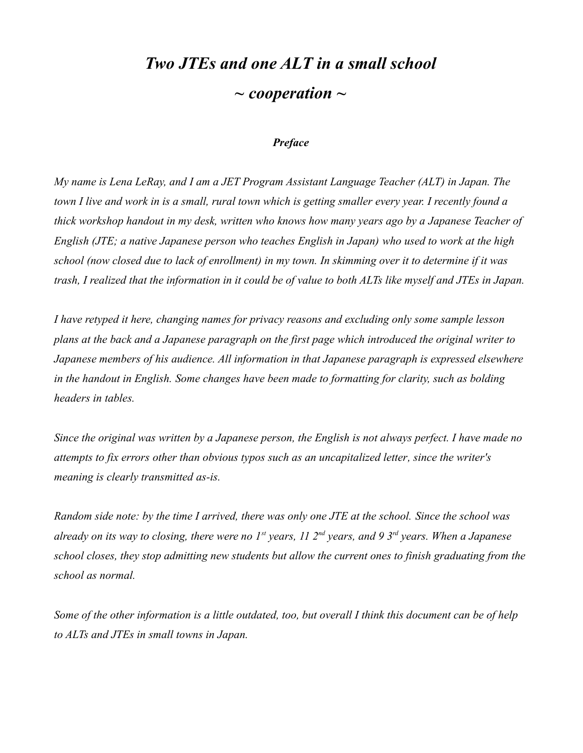## *Two JTEs and one ALT in a small school ~ cooperation ~*

#### *Preface*

*My name is Lena LeRay, and I am a JET Program Assistant Language Teacher (ALT) in Japan. The town I live and work in is a small, rural town which is getting smaller every year. I recently found a thick workshop handout in my desk, written who knows how many years ago by a Japanese Teacher of English (JTE; a native Japanese person who teaches English in Japan) who used to work at the high school (now closed due to lack of enrollment) in my town. In skimming over it to determine if it was trash, I realized that the information in it could be of value to both ALTs like myself and JTEs in Japan.*

*I have retyped it here, changing names for privacy reasons and excluding only some sample lesson plans at the back and a Japanese paragraph on the first page which introduced the original writer to Japanese members of his audience. All information in that Japanese paragraph is expressed elsewhere in the handout in English. Some changes have been made to formatting for clarity, such as bolding headers in tables.*

*Since the original was written by a Japanese person, the English is not always perfect. I have made no attempts to fix errors other than obvious typos such as an uncapitalized letter, since the writer's meaning is clearly transmitted as-is.*

*Random side note: by the time I arrived, there was only one JTE at the school. Since the school was already on its way to closing, there were no 1st years, 11 2nd years, and 9 3rd years. When a Japanese school closes, they stop admitting new students but allow the current ones to finish graduating from the school as normal.*

*Some of the other information is a little outdated, too, but overall I think this document can be of help to ALTs and JTEs in small towns in Japan.*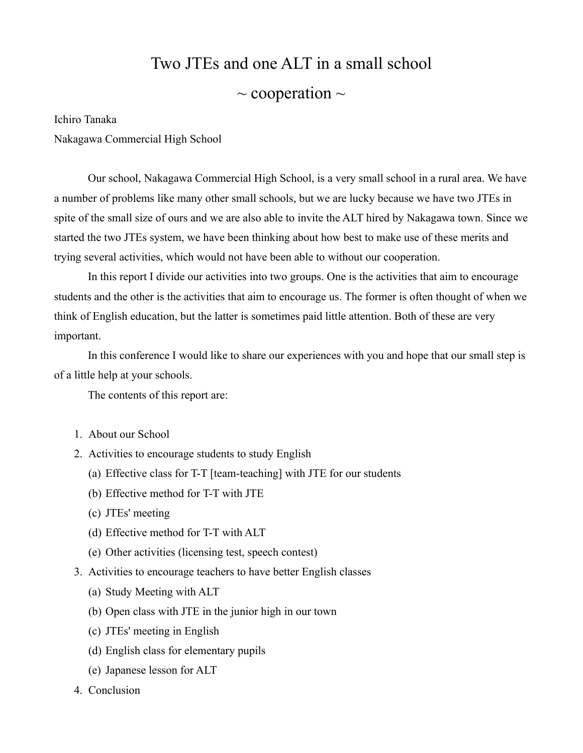# Two JTEs and one ALT in a small school

### $\sim$  cooperation  $\sim$

Ichiro Tanaka

Nakagawa Commercial High School

Our school, Nakagawa Commercial High School, is a very small school in a rural area. We have a number of problems like many other small schools, but we are lucky because we have two JTEs in spite of the small size of ours and we are also able to invite the ALT hired by Nakagawa town. Since we started the two JTEs system, we have been thinking about how best to make use of these merits and trying several activities, which would not have been able to without our cooperation.

In this report I divide our activities into two groups. One is the activities that aim to encourage students and the other is the activities that aim to encourage us. The former is often thought of when we think of English education, but the latter is sometimes paid little attention. Both of these are very important.

In this conference I would like to share our experiences with you and hope that our small step is of a little help at your schools.

The contents of this report are:

- 1. About our School
- 2. Activities to encourage students to study English
	- (a) Effective class for T-T [team-teaching] with JTE for our students
	- (b) Effective method for T-T with JTE
	- (c) JTEs' meeting
	- (d) Effective method for T-T with ALT
	- (e) Other activities (licensing test, speech contest)
- 3. Activities to encourage teachers to have better English classes
	- (a) Study Meeting with ALT
	- (b) Open class with JTE in the junior high in our town
	- (c) JTEs' meeting in English
	- (d) English class for elementary pupils
	- (e) Japanese lesson for ALT
- 4. Conclusion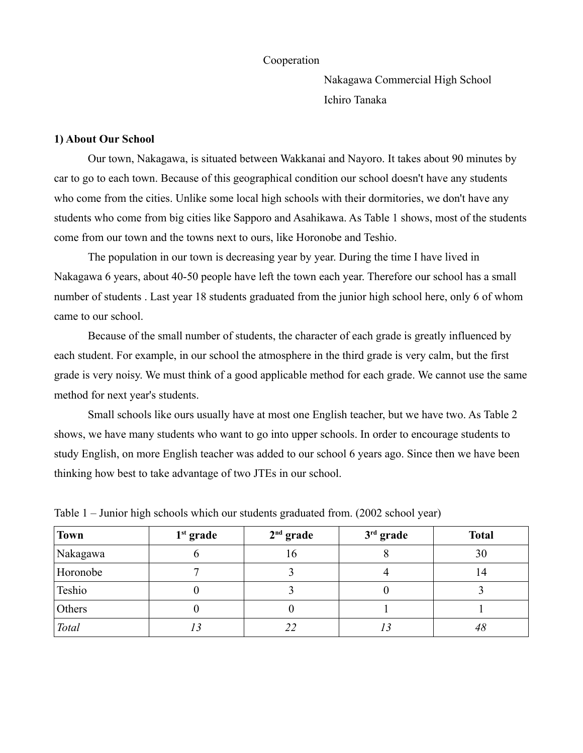#### Cooperation

Nakagawa Commercial High School Ichiro Tanaka

#### **1) About Our School**

Our town, Nakagawa, is situated between Wakkanai and Nayoro. It takes about 90 minutes by car to go to each town. Because of this geographical condition our school doesn't have any students who come from the cities. Unlike some local high schools with their dormitories, we don't have any students who come from big cities like Sapporo and Asahikawa. As Table 1 shows, most of the students come from our town and the towns next to ours, like Horonobe and Teshio.

The population in our town is decreasing year by year. During the time I have lived in Nakagawa 6 years, about 40-50 people have left the town each year. Therefore our school has a small number of students . Last year 18 students graduated from the junior high school here, only 6 of whom came to our school.

Because of the small number of students, the character of each grade is greatly influenced by each student. For example, in our school the atmosphere in the third grade is very calm, but the first grade is very noisy. We must think of a good applicable method for each grade. We cannot use the same method for next year's students.

Small schools like ours usually have at most one English teacher, but we have two. As Table 2 shows, we have many students who want to go into upper schools. In order to encourage students to study English, on more English teacher was added to our school 6 years ago. Since then we have been thinking how best to take advantage of two JTEs in our school.

| <b>Town</b> | $1st$ grade | $2nd$ grade | $3rd$ grade | <b>Total</b> |
|-------------|-------------|-------------|-------------|--------------|
| Nakagawa    | O           | l 6         | О           | 30           |
| Horonobe    |             |             |             | 14           |
| Teshio      | U           |             | υ           |              |
| Others      | U           |             |             |              |
| Total       | 13          | 22          |             | 48           |

Table 1 – Junior high schools which our students graduated from. (2002 school year)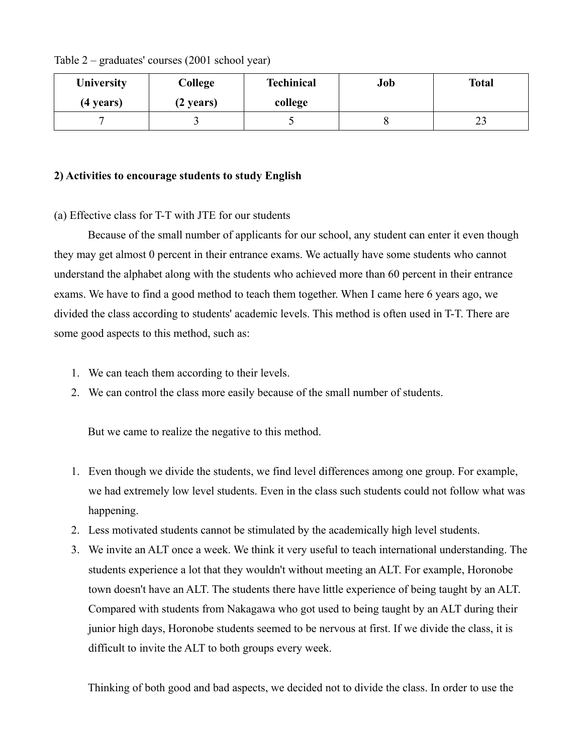| <b>University</b> | College             | <b>Techinical</b> | Job | <b>Total</b> |
|-------------------|---------------------|-------------------|-----|--------------|
| (4 years)         | $(2 \text{ years})$ | college           |     |              |
|                   |                     |                   |     | ر_           |

Table 2 – graduates' courses (2001 school year)

#### **2) Activities to encourage students to study English**

#### (a) Effective class for T-T with JTE for our students

Because of the small number of applicants for our school, any student can enter it even though they may get almost 0 percent in their entrance exams. We actually have some students who cannot understand the alphabet along with the students who achieved more than 60 percent in their entrance exams. We have to find a good method to teach them together. When I came here 6 years ago, we divided the class according to students' academic levels. This method is often used in T-T. There are some good aspects to this method, such as:

- 1. We can teach them according to their levels.
- 2. We can control the class more easily because of the small number of students.

But we came to realize the negative to this method.

- 1. Even though we divide the students, we find level differences among one group. For example, we had extremely low level students. Even in the class such students could not follow what was happening.
- 2. Less motivated students cannot be stimulated by the academically high level students.
- 3. We invite an ALT once a week. We think it very useful to teach international understanding. The students experience a lot that they wouldn't without meeting an ALT. For example, Horonobe town doesn't have an ALT. The students there have little experience of being taught by an ALT. Compared with students from Nakagawa who got used to being taught by an ALT during their junior high days, Horonobe students seemed to be nervous at first. If we divide the class, it is difficult to invite the ALT to both groups every week.

Thinking of both good and bad aspects, we decided not to divide the class. In order to use the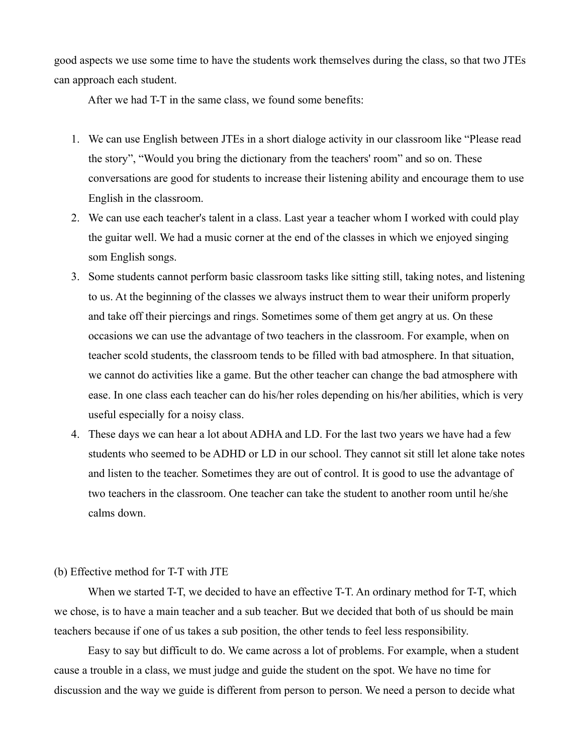good aspects we use some time to have the students work themselves during the class, so that two JTEs can approach each student.

After we had T-T in the same class, we found some benefits:

- 1. We can use English between JTEs in a short dialoge activity in our classroom like "Please read the story", "Would you bring the dictionary from the teachers' room" and so on. These conversations are good for students to increase their listening ability and encourage them to use English in the classroom.
- 2. We can use each teacher's talent in a class. Last year a teacher whom I worked with could play the guitar well. We had a music corner at the end of the classes in which we enjoyed singing som English songs.
- 3. Some students cannot perform basic classroom tasks like sitting still, taking notes, and listening to us. At the beginning of the classes we always instruct them to wear their uniform properly and take off their piercings and rings. Sometimes some of them get angry at us. On these occasions we can use the advantage of two teachers in the classroom. For example, when on teacher scold students, the classroom tends to be filled with bad atmosphere. In that situation, we cannot do activities like a game. But the other teacher can change the bad atmosphere with ease. In one class each teacher can do his/her roles depending on his/her abilities, which is very useful especially for a noisy class.
- 4. These days we can hear a lot about ADHA and LD. For the last two years we have had a few students who seemed to be ADHD or LD in our school. They cannot sit still let alone take notes and listen to the teacher. Sometimes they are out of control. It is good to use the advantage of two teachers in the classroom. One teacher can take the student to another room until he/she calms down.

#### (b) Effective method for T-T with JTE

When we started T-T, we decided to have an effective T-T. An ordinary method for T-T, which we chose, is to have a main teacher and a sub teacher. But we decided that both of us should be main teachers because if one of us takes a sub position, the other tends to feel less responsibility.

Easy to say but difficult to do. We came across a lot of problems. For example, when a student cause a trouble in a class, we must judge and guide the student on the spot. We have no time for discussion and the way we guide is different from person to person. We need a person to decide what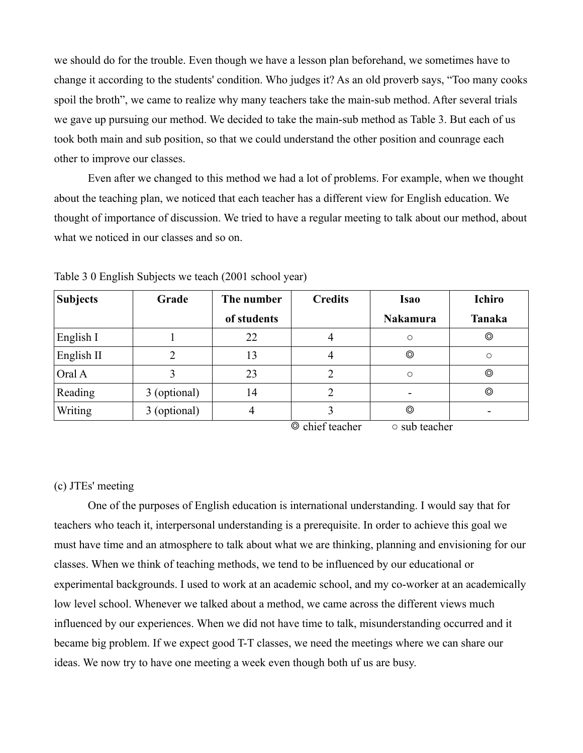we should do for the trouble. Even though we have a lesson plan beforehand, we sometimes have to change it according to the students' condition. Who judges it? As an old proverb says, "Too many cooks spoil the broth", we came to realize why many teachers take the main-sub method. After several trials we gave up pursuing our method. We decided to take the main-sub method as Table 3. But each of us took both main and sub position, so that we could understand the other position and counrage each other to improve our classes.

Even after we changed to this method we had a lot of problems. For example, when we thought about the teaching plan, we noticed that each teacher has a different view for English education. We thought of importance of discussion. We tried to have a regular meeting to talk about our method, about what we noticed in our classes and so on.

| Subjects     | Grade        | The number  | <b>Credits</b> | <b>Isao</b>     | <b>Ichiro</b>  |
|--------------|--------------|-------------|----------------|-----------------|----------------|
|              |              | of students |                | <b>Nakamura</b> | <b>Tanaka</b>  |
| English I    |              | 22          | 4              | $\circ$         | ⊚              |
| English II   |              | 13          |                | O               | O              |
| $\alpha$ l A |              | 23          |                | $\circ$         | ⊚              |
| Reading      | 3 (optional) | 14          |                |                 | $\circledcirc$ |
| Writing      | 3 (optional) |             |                | O               |                |

Table 3 0 English Subjects we teach (2001 school year)

◎ chief teacher ○ sub teacher

#### (c) JTEs' meeting

One of the purposes of English education is international understanding. I would say that for teachers who teach it, interpersonal understanding is a prerequisite. In order to achieve this goal we must have time and an atmosphere to talk about what we are thinking, planning and envisioning for our classes. When we think of teaching methods, we tend to be influenced by our educational or experimental backgrounds. I used to work at an academic school, and my co-worker at an academically low level school. Whenever we talked about a method, we came across the different views much influenced by our experiences. When we did not have time to talk, misunderstanding occurred and it became big problem. If we expect good T-T classes, we need the meetings where we can share our ideas. We now try to have one meeting a week even though both uf us are busy.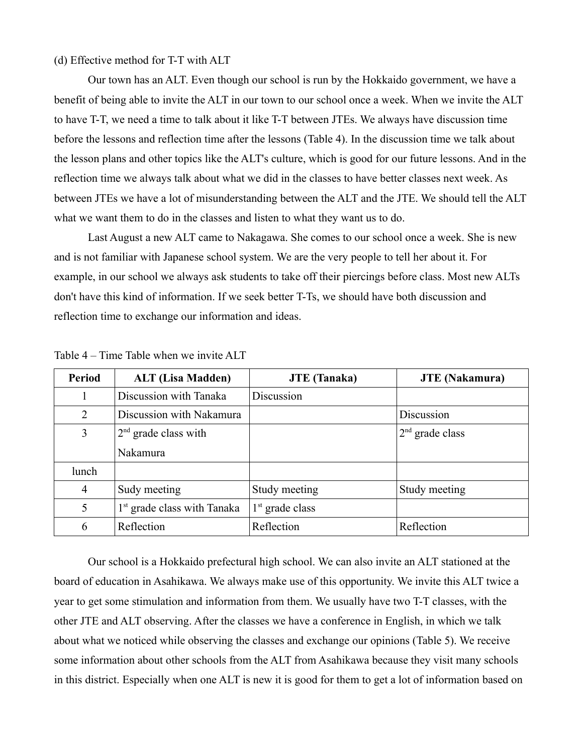(d) Effective method for T-T with ALT

Our town has an ALT. Even though our school is run by the Hokkaido government, we have a benefit of being able to invite the ALT in our town to our school once a week. When we invite the ALT to have T-T, we need a time to talk about it like T-T between JTEs. We always have discussion time before the lessons and reflection time after the lessons (Table 4). In the discussion time we talk about the lesson plans and other topics like the ALT's culture, which is good for our future lessons. And in the reflection time we always talk about what we did in the classes to have better classes next week. As between JTEs we have a lot of misunderstanding between the ALT and the JTE. We should tell the ALT what we want them to do in the classes and listen to what they want us to do.

Last August a new ALT came to Nakagawa. She comes to our school once a week. She is new and is not familiar with Japanese school system. We are the very people to tell her about it. For example, in our school we always ask students to take off their piercings before class. Most new ALTs don't have this kind of information. If we seek better T-Ts, we should have both discussion and reflection time to exchange our information and ideas.

| <b>Period</b>  | <b>ALT (Lisa Madden)</b>                | <b>JTE</b> (Tanaka) | <b>JTE</b> (Nakamura) |
|----------------|-----------------------------------------|---------------------|-----------------------|
|                | Discussion with Tanaka                  | Discussion          |                       |
| 2              | Discussion with Nakamura                |                     | Discussion            |
| 3              | $2nd$ grade class with                  |                     | $2nd$ grade class     |
|                | Nakamura                                |                     |                       |
| lunch          |                                         |                     |                       |
| $\overline{4}$ | Sudy meeting                            | Study meeting       | Study meeting         |
| 5              | 1 <sup>st</sup> grade class with Tanaka | $1st$ grade class   |                       |
| 6              | Reflection                              | Reflection          | Reflection            |

Table 4 – Time Table when we invite ALT

Our school is a Hokkaido prefectural high school. We can also invite an ALT stationed at the board of education in Asahikawa. We always make use of this opportunity. We invite this ALT twice a year to get some stimulation and information from them. We usually have two T-T classes, with the other JTE and ALT observing. After the classes we have a conference in English, in which we talk about what we noticed while observing the classes and exchange our opinions (Table 5). We receive some information about other schools from the ALT from Asahikawa because they visit many schools in this district. Especially when one ALT is new it is good for them to get a lot of information based on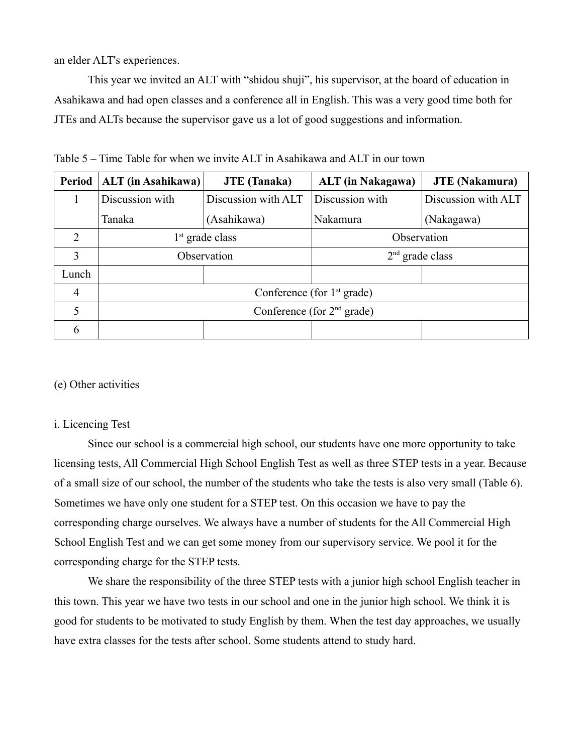an elder ALT's experiences.

This year we invited an ALT with "shidou shuji", his supervisor, at the board of education in Asahikawa and had open classes and a conference all in English. This was a very good time both for JTEs and ALTs because the supervisor gave us a lot of good suggestions and information.

| <b>Period</b>  | <b>ALT</b> (in Asahikawa)              | <b>JTE</b> (Tanaka) | <b>ALT</b> (in Nakagawa)     | <b>JTE</b> (Nakamura) |  |
|----------------|----------------------------------------|---------------------|------------------------------|-----------------------|--|
|                | Discussion with<br>Discussion with ALT |                     | Discussion with              | Discussion with ALT   |  |
|                | Tanaka                                 | (Asahikawa)         | Nakamura                     | (Nakagawa)            |  |
| $\overline{2}$ | $1st$ grade class                      |                     | Observation                  |                       |  |
| 3              | Observation                            |                     | $2nd$ grade class            |                       |  |
| Lunch          |                                        |                     |                              |                       |  |
| $\overline{4}$ | Conference (for $1st$ grade)           |                     |                              |                       |  |
|                |                                        |                     | Conference (for $2nd$ grade) |                       |  |
| 6              |                                        |                     |                              |                       |  |

Table 5 – Time Table for when we invite ALT in Asahikawa and ALT in our town

#### (e) Other activities

#### i. Licencing Test

Since our school is a commercial high school, our students have one more opportunity to take licensing tests, All Commercial High School English Test as well as three STEP tests in a year. Because of a small size of our school, the number of the students who take the tests is also very small (Table 6). Sometimes we have only one student for a STEP test. On this occasion we have to pay the corresponding charge ourselves. We always have a number of students for the All Commercial High School English Test and we can get some money from our supervisory service. We pool it for the corresponding charge for the STEP tests.

We share the responsibility of the three STEP tests with a junior high school English teacher in this town. This year we have two tests in our school and one in the junior high school. We think it is good for students to be motivated to study English by them. When the test day approaches, we usually have extra classes for the tests after school. Some students attend to study hard.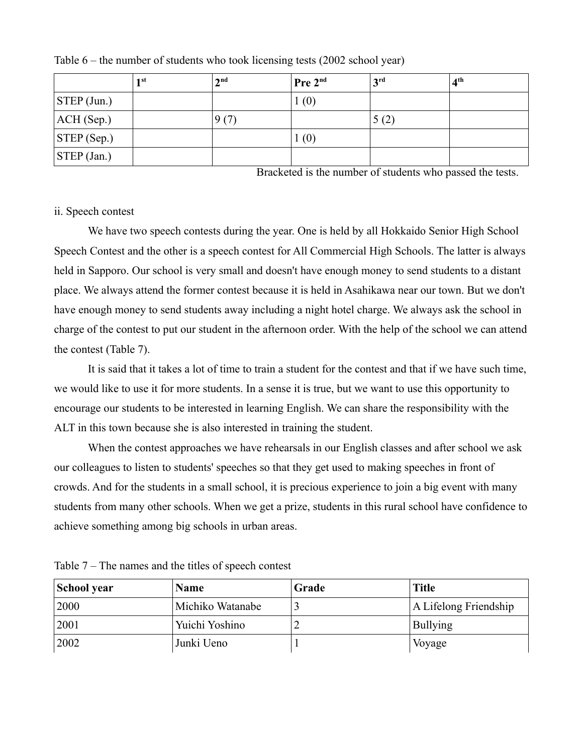|                        | 1 st | 2 <sup>nd</sup> | Pre 2 <sup>nd</sup> | 2rd  | 4 <sup>th</sup> |
|------------------------|------|-----------------|---------------------|------|-----------------|
| $STEP$ (Jun.)          |      |                 | (0)                 |      |                 |
| ACH(Sep.)              |      | 9(7)            |                     | 5(2) |                 |
| $ \text{STEP (Sep.)} $ |      |                 | (0)                 |      |                 |
| $ \text{STEP (Jan.)} $ |      |                 |                     |      |                 |

Table 6 – the number of students who took licensing tests (2002 school year)

Bracketed is the number of students who passed the tests.

#### ii. Speech contest

We have two speech contests during the year. One is held by all Hokkaido Senior High School Speech Contest and the other is a speech contest for All Commercial High Schools. The latter is always held in Sapporo. Our school is very small and doesn't have enough money to send students to a distant place. We always attend the former contest because it is held in Asahikawa near our town. But we don't have enough money to send students away including a night hotel charge. We always ask the school in charge of the contest to put our student in the afternoon order. With the help of the school we can attend the contest (Table 7).

It is said that it takes a lot of time to train a student for the contest and that if we have such time, we would like to use it for more students. In a sense it is true, but we want to use this opportunity to encourage our students to be interested in learning English. We can share the responsibility with the ALT in this town because she is also interested in training the student.

When the contest approaches we have rehearsals in our English classes and after school we ask our colleagues to listen to students' speeches so that they get used to making speeches in front of crowds. And for the students in a small school, it is precious experience to join a big event with many students from many other schools. When we get a prize, students in this rural school have confidence to achieve something among big schools in urban areas.

| School year | <b>Name</b>      | Grade | <b>Title</b>          |
|-------------|------------------|-------|-----------------------|
| 2000        | Michiko Watanabe |       | A Lifelong Friendship |
| 2001        | Yuichi Yoshino   |       | <b>Bullying</b>       |
| 2002        | Junki Ueno       |       | Voyage                |

Table 7 – The names and the titles of speech contest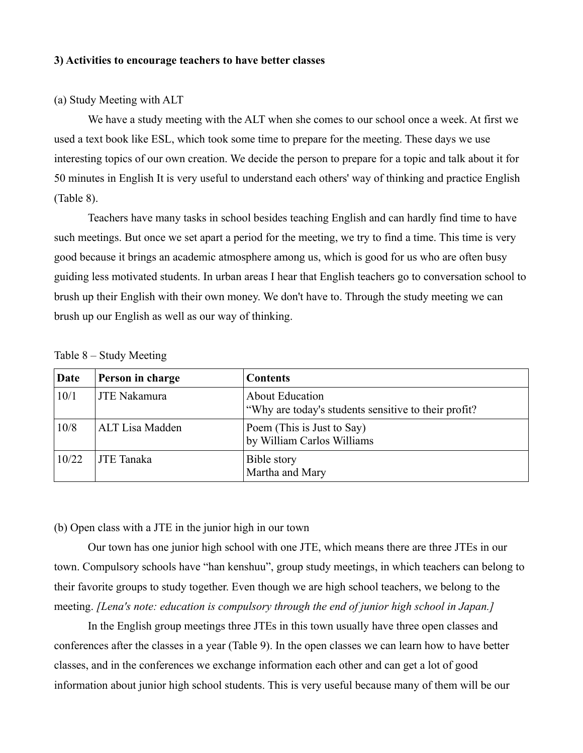#### **3) Activities to encourage teachers to have better classes**

#### (a) Study Meeting with ALT

We have a study meeting with the ALT when she comes to our school once a week. At first we used a text book like ESL, which took some time to prepare for the meeting. These days we use interesting topics of our own creation. We decide the person to prepare for a topic and talk about it for 50 minutes in English It is very useful to understand each others' way of thinking and practice English (Table 8).

Teachers have many tasks in school besides teaching English and can hardly find time to have such meetings. But once we set apart a period for the meeting, we try to find a time. This time is very good because it brings an academic atmosphere among us, which is good for us who are often busy guiding less motivated students. In urban areas I hear that English teachers go to conversation school to brush up their English with their own money. We don't have to. Through the study meeting we can brush up our English as well as our way of thinking.

| Date  | Person in charge    | <b>Contents</b>                                                                 |
|-------|---------------------|---------------------------------------------------------------------------------|
| 10/1  | <b>JTE Nakamura</b> | <b>About Education</b><br>"Why are today's students sensitive to their profit?" |
| 10/8  | ALT Lisa Madden     | Poem (This is Just to Say)<br>by William Carlos Williams                        |
| 10/22 | <b>JTE</b> Tanaka   | Bible story<br>Martha and Mary                                                  |

Table 8 – Study Meeting

(b) Open class with a JTE in the junior high in our town

Our town has one junior high school with one JTE, which means there are three JTEs in our town. Compulsory schools have "han kenshuu", group study meetings, in which teachers can belong to their favorite groups to study together. Even though we are high school teachers, we belong to the meeting. *[Lena's note: education is compulsory through the end of junior high school in Japan.]*

In the English group meetings three JTEs in this town usually have three open classes and conferences after the classes in a year (Table 9). In the open classes we can learn how to have better classes, and in the conferences we exchange information each other and can get a lot of good information about junior high school students. This is very useful because many of them will be our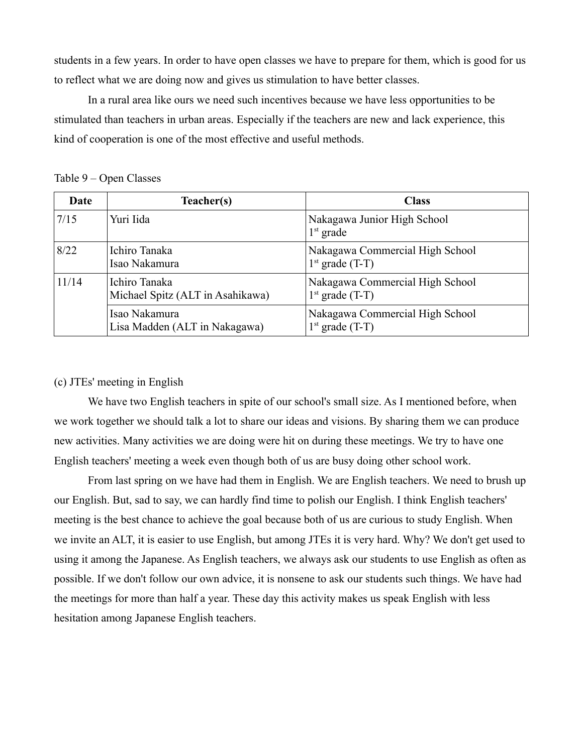students in a few years. In order to have open classes we have to prepare for them, which is good for us to reflect what we are doing now and gives us stimulation to have better classes.

In a rural area like ours we need such incentives because we have less opportunities to be stimulated than teachers in urban areas. Especially if the teachers are new and lack experience, this kind of cooperation is one of the most effective and useful methods.

| Date  | Teacher(s)                                        | <b>Class</b>                                         |
|-------|---------------------------------------------------|------------------------------------------------------|
| 7/15  | Yuri Iida                                         | Nakagawa Junior High School<br>$1st$ grade           |
| 8/22  | Ichiro Tanaka<br>Isao Nakamura                    | Nakagawa Commercial High School<br>$1st$ grade (T-T) |
| 11/14 | Ichiro Tanaka<br>Michael Spitz (ALT in Asahikawa) | Nakagawa Commercial High School<br>$1st$ grade (T-T) |
|       | Isao Nakamura<br>Lisa Madden (ALT in Nakagawa)    | Nakagawa Commercial High School<br>$1st$ grade (T-T) |

Table 9 – Open Classes

#### (c) JTEs' meeting in English

We have two English teachers in spite of our school's small size. As I mentioned before, when we work together we should talk a lot to share our ideas and visions. By sharing them we can produce new activities. Many activities we are doing were hit on during these meetings. We try to have one English teachers' meeting a week even though both of us are busy doing other school work.

From last spring on we have had them in English. We are English teachers. We need to brush up our English. But, sad to say, we can hardly find time to polish our English. I think English teachers' meeting is the best chance to achieve the goal because both of us are curious to study English. When we invite an ALT, it is easier to use English, but among JTEs it is very hard. Why? We don't get used to using it among the Japanese. As English teachers, we always ask our students to use English as often as possible. If we don't follow our own advice, it is nonsene to ask our students such things. We have had the meetings for more than half a year. These day this activity makes us speak English with less hesitation among Japanese English teachers.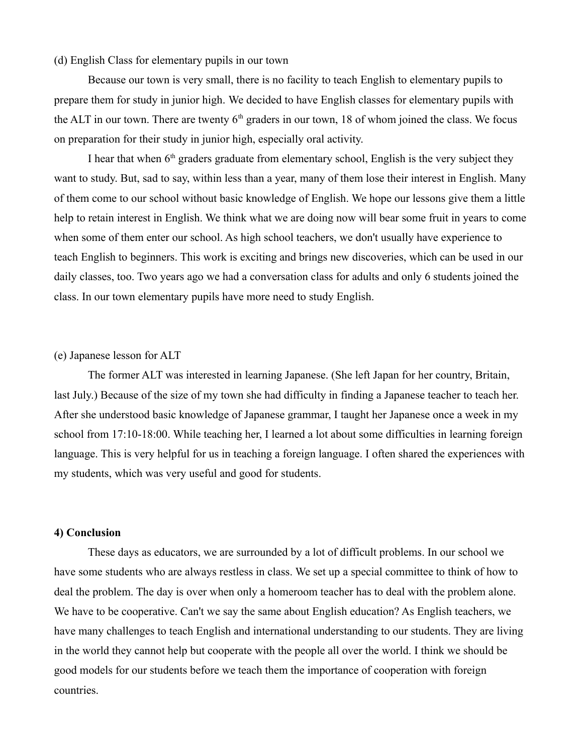#### (d) English Class for elementary pupils in our town

Because our town is very small, there is no facility to teach English to elementary pupils to prepare them for study in junior high. We decided to have English classes for elementary pupils with the ALT in our town. There are twenty  $6<sup>th</sup>$  graders in our town, 18 of whom joined the class. We focus on preparation for their study in junior high, especially oral activity.

I hear that when  $6<sup>th</sup>$  graders graduate from elementary school, English is the very subject they want to study. But, sad to say, within less than a year, many of them lose their interest in English. Many of them come to our school without basic knowledge of English. We hope our lessons give them a little help to retain interest in English. We think what we are doing now will bear some fruit in years to come when some of them enter our school. As high school teachers, we don't usually have experience to teach English to beginners. This work is exciting and brings new discoveries, which can be used in our daily classes, too. Two years ago we had a conversation class for adults and only 6 students joined the class. In our town elementary pupils have more need to study English.

#### (e) Japanese lesson for ALT

The former ALT was interested in learning Japanese. (She left Japan for her country, Britain, last July.) Because of the size of my town she had difficulty in finding a Japanese teacher to teach her. After she understood basic knowledge of Japanese grammar, I taught her Japanese once a week in my school from 17:10-18:00. While teaching her, I learned a lot about some difficulties in learning foreign language. This is very helpful for us in teaching a foreign language. I often shared the experiences with my students, which was very useful and good for students.

#### **4) Conclusion**

These days as educators, we are surrounded by a lot of difficult problems. In our school we have some students who are always restless in class. We set up a special committee to think of how to deal the problem. The day is over when only a homeroom teacher has to deal with the problem alone. We have to be cooperative. Can't we say the same about English education? As English teachers, we have many challenges to teach English and international understanding to our students. They are living in the world they cannot help but cooperate with the people all over the world. I think we should be good models for our students before we teach them the importance of cooperation with foreign countries.